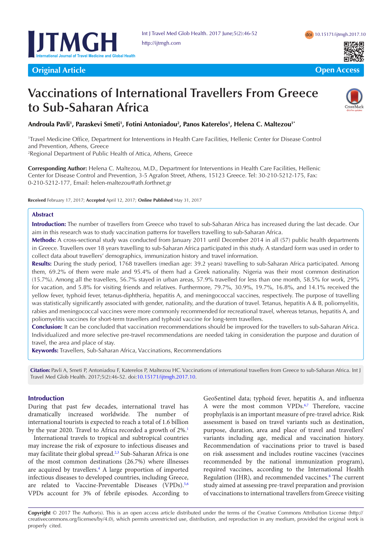



**Original Article Open Access Letter to Editor Open Access**



# **Vaccinations of International Travellers From Greece to Sub-Saharan Africa**



Androula Pavli<sup>1</sup>, Paraskevi Smeti<sup>1</sup>, Fotini Antoniadou<sup>2</sup>, Panos Katerelos<sup>1</sup>, Helena C. Maltezou<sup>1</sup>'

<sup>1</sup>Travel Medicine Office, Department for Interventions in Health Care Facilities, Hellenic Center for Disease Control and Prevention, Athens, Greece rated meaning Office, Department for interventions in Ficanti Care Factures, Fi

<sup>2</sup>Regional Department of Public Health of Attica, Athens, Greece

**Corresponding Author:** Helena C. Maltezou, M.D., Department for Interventions in Health Care Facilities, Hellenic Corresponding Addior. Herena C. Manezod, M.D., Department for interventions in Health Care Facilities, Henenic<br>Center for Disease Control and Prevention, 3-5 Agrafon Street, Athens, 15123 Greece. Tel: 30-210-5212-175, Fax: 0-210-5212-177, Email: helen-maltezou@ath.forthnet.gr enter for Dise

**Received** February 17, 2017; **Accepted** April 12, 2017; **Online Published** May 31, 2017 International air travel has increased during the recent

### **Abstract**

Introduction: The number of travellers from Greece who travel to sub-Saharan Africa has increased during the last decade. Our aim in this research was to study vaccination patterns for travellers travelling to sub-Saharan Africa. up bunded. The a necessary daring the next decade. But

Methods: A cross-sectional study was conducted from January 2011 until December 2014 in all (57) public health departments in Greece. Travellers over 18 years travelling to sub-Saharan Africa participated in this study. A standard form was used in order to expect travellers' over the years advening to said bandianty and grand-patternal mand status. Collect data about travellers' demographics, immunization history and travel information. of travel information. Furthermore, the pregnant of the pregnant of the pregnant of  $\mathbb{R}$ 

Results: During the study period, 1768 travellers (median age: 39.2 years) travelling to sub-Saharan Africa participated. Among them, 69.2% of them were male and 95.4% of them had a Greek nationality. Nigeria was their most common destination them, 69.2% (15.7%). Among all the travellers, 56.7% stayed in urban areas, 57.9% travelled for less than one month, 58.5% for work, 29% for vacation, and 5.8% for visiting friends and relatives. Furthermore, 79.7%, 30.9%, 19.7%, 16.8%, and 14.1% received the vellow fever, typhoid fever, tetanus-diphtheria, hepatitis A, and meningococcal vaccines, respectively. The purpose of travelling yellow fever, typhoid fever, tetanus-diphtheria, hepatitis A, and meningococcal vaccines, re was statistically significantly associated with gender, nationality, and the duration of travel. Tetanus, hepatitis A & B, poliomyelitis, rabies and meningococcal vaccines were more commonly recommended for recreational travel, whereas tetanus, hepatitis A, and rabies and meningococcal vaccines were more commonly recommended for recreational travel, whereas poliomyelitis vaccines for short-term travellers and typhoid vaccine for long-term travellers.

**Conclusion:** It can be concluded that vaccination rrecommendations should be improved for the travellers to sub-Saharan Africa. Individualized and more selective pre-travel recommendations are needed taking in consideration the purpose and duration of travel, the area and place of stay. Health Research Research Center, The Medical Center Statement of

**Keywords:** Travellers, Sub-Saharan Africa, Vaccinations, Recommendations  $\mathcal{A}$  and  $\mathcal{A}$  are  $\mathcal{A}$  that and  $\mathcal{A}$  are  $\mathcal{A}$  the continuous present without  $\mathcal{A}$  $\mathcal{S}$ 

Citation: Pavli A, Smeti P, Antoniadou F, Katerelos P, Maltezou HC. Vaccinations of international travellers from Greece to sub-Saharan Africa. Int J Travel Med Glob Health. 2017;5(2):46-52. doi[:10.15171/ijtmgh.2017.10.](http://dx.doi.org/10.15171/ijtmgh.2017.10)

## **Introduction**

mercentum:<br>During that past few decades, international travel has being that past few accesses, international travel has dramatically increased worldwide. The number of mancional tourists is expected to reach a total of 1.6 billion by the year 2020. Travel to Africa recorded a growth of 2%.<sup>[1](#page-4-0)</sup>

International travels to tropical and subtropical countries may increase the risk of exposure to infectious diseases and may facilitate their global spread.<sup>2[,3](#page-4-2)</sup> Sub-Saharan Africa is one of the most common destinations (26.7%) where illnesses are acquired by travellers.<sup>4</sup> A large proportion of imported infectious diseases to developed countries, including Greece, are related to Vaccine-Preventable Diseases (VPDs).<sup>5,[6](#page-5-1)</sup> VPDs account for 3% of febrile episodes. According to

GeoSentinel data; typhoid fever, hepatitis A, and influenza A were the most common VPDs.<sup>[6,](#page-5-1)[7](#page-5-2)</sup> Therefore, vaccine prophylaxis is an important measure of pre-travel advice. Risk assessment is based on travel variants such as destination, purpose, duration, area and place of travel and travellers' variants including age, medical and vaccination history. Recommendation of vaccinations prior to travel is based on risk assessment and includes routine vaccines (vaccines recommended by the national immunization program), required vaccines, according to the International Health Regulation (IHR), and recommended vaccines.<sup>8</sup> The current study aimed at assessing pre-travel preparation and provision of vaccinations to international travellers from Greece visiting pregnancy. Scientific Impact Paper No.  $\frac{1}{2}$  $\frac{1}{2}$ 

during pregnancy. Before planning to travel, women should check the airline's policy about air travel during pregnancy.

**Copyright** © 2017 The Author(s). This is an open access article distributed under the terms of the Creative Commons Attribution License (http:// creativecommons.org/licenses/by/4.0), which permits unrestricted use, distribution, and reproduction in any medium, provided the original work is properly cited. ereauvecommons.org/neenses/by/4.0/, which permits and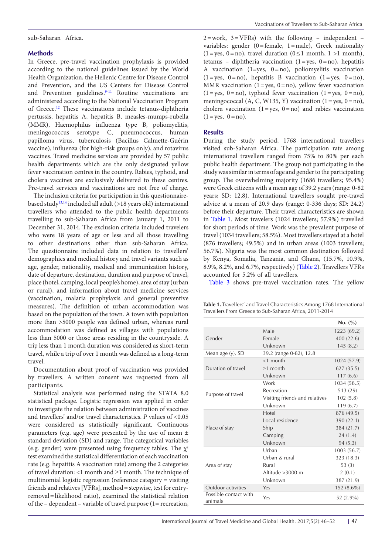#### sub-Saharan Africa.

### **Methods**

In Greece, pre-travel vaccination prophylaxis is provided according to the national guidelines issued by the World Health Organization, the Hellenic Centre for Disease Control and Prevention, and the US Centers for Disease Control and Prevention guidelines.<sup>9-11</sup> Routine vaccinations are administered according to the National Vaccination Program of Greece[.12](#page-5-6) These vaccinations include tetanus-diphtheria pertussis, hepatitis A, hepatitis B, measles-mumps-rubella (MMR), Haemophilus influenza type B, poliomyelitis, meningococcus serotype C, pneumococcus, human papilloma virus, tuberculosis (Bacillus Calmette-Guérin vaccine), influenza (for high-risk groups only), and rotavirus vaccines. Travel medicine services are provided by 57 public health departments which are the only designated yellow fever vaccination centres in the country. Rabies, typhoid, and cholera vaccines are exclusively delivered to these centres. Pre-travel services and vaccinations are not free of charge.

The inclusion criteria for participation in this questionnairebased study[13](#page-5-7),[14](#page-5-8) included all adult (>18 years old) international travellers who attended to the public health departments travelling to sub-Saharan Africa from January 1, 2011 to December 31, 2014. The exclusion criteria included travelers who were 18 years of age or less and all those travelling to other destinations other than sub-Saharan Africa. The questionnaire included data in relation to travellers' demographics and medical history and travel variants such as age, gender, nationality, medical and immunization history, date of departure, destination, duration and purpose of travel, place (hotel, camping, local people's home), area of stay (urban or rural), and information about travel medicine services (vaccination, malaria prophylaxis and general preventive measures). The definition of urban accommodation was based on the population of the town. A town with population more than >5000 people was defined urban, whereas rural accommodation was defined as villages with populations less than 5000 or those areas residing in the countryside. A trip less than 1 month duration was considered as short-term travel, while a trip of over 1 month was defined as a long-term travel.

Documentation about proof of vaccination was provided by travellers. A written consent was requested from all participants.

Statistical analysis was performed using the STATA 8.0 statistical package. Logistic regression was applied in order to investigate the relation between administration of vaccines and travellers' and/or travel characteristics. *P* values of <0.05 were considered as statistically significant. Continuous parameters (e.g. age) were presented by the use of mean ± standard deviation (SD) and range. The categorical variables (e.g. gender) were presented using frequency tables. The  $\chi^2$ test examined the statistical differentiation of each vaccination rate (e.g. hepatitis Α vaccination rate) among the 2 categories of travel duration: <1 month and ≥1 month. The technique of multinomial logistic regression (reference category = visiting friends and relatives [VFRs], method=stepwise, test for entryremoval=likelihood ratio), examined the statistical relation of the – dependent – variable of travel purpose (1= recreation,

 $2=work, 3=VFRs$ ) with the following - independent variables: gender  $(0)$ =female, 1 = male), Greek nationality  $(1 = yes, 0 = no)$ , travel duration  $(0 \le 1$  month,  $1 > 1$  month), tetanus – diphtheria vaccination (1=yes, 0=no), hepatitis Α vaccination (1=yes, 0=no), poliomyelitis vaccination  $(1 = yes, 0 = no)$ , hepatitis B vaccination  $(1 = yes, 0 = no)$ , MMR vaccination  $(1 = yes, 0 = no)$ , yellow fever vaccination  $(1 = yes, 0 = no)$ , typhoid fever vaccination  $(1 = yes, 0 = no)$ , meningococcal (A, C, W135, Y) vaccination  $(1 = yes, 0 = no)$ , cholera vaccination  $(1 = yes, 0 = no)$  and rabies vaccination  $(1 = yes, 0 = no).$ 

#### **Results**

During the study period, 1768 international travellers visited sub-Saharan Africa. The participation rate among international travellers ranged from 75% to 80% per each public health department. The group not participating in the study was similar in terms of age and gender to the participating group. The overwhelming majority (1686 travellers; 95.4%) were Greek citizens with a mean age of 39.2 years (range: 0-82 years; SD: 12.8). International travellers sought pre-travel advice at a mean of 20.9 days (range: 0-336 days; SD: 24.2) before their departure. Their travel characteristics are shown in Table 1. Most travelers (1024 travellers; 57.9%) travelled for short periods of time. Work was the prevalent purpose of travel (1034 travellers; 58.5%). Most travellers stayed at a hotel (876 travellers; 49.5%) and in urban areas (1003 travellers; 56.7%). Nigeria was the most common destination followed by Kenya, Somalia, Tanzania, and Ghana, (15.7%, 10.9%, 8.9%, 8.2%, and 6.7%, respectively) ([Table 2\)](#page-2-0). Travellers VFRs accounted for 5.2% of all travellers.

[Table 3](#page-2-1) shows pre-travel vaccination rates. The yellow

**Table 1.** Travellers' and Travel Characteristics Among 1768 International Travellers From Greece to Sub-Saharan Africa, 2011-2014

|                                  |                                | No. (%)      |
|----------------------------------|--------------------------------|--------------|
|                                  | Male                           | 1223 (69.2)  |
| Gender                           | Female                         | 400(22.6)    |
|                                  | Unknown                        | 145(8.2)     |
| Mean age (y), SD                 | 39.2 (range 0-82), 12.8        |              |
|                                  | $<$ 1 month                    | 1024 (57.9)  |
| Duration of travel               | $\geq$ 1 month                 | 627(35.5)    |
|                                  | Unknown                        | 117(6.6)     |
|                                  | Work                           | 1034 (58.5)  |
| Purpose of travel                | Recreation                     | 513 (29)     |
|                                  | Visiting friends and relatives | 102(5.8)     |
|                                  | Unknown                        | 119(6.7)     |
|                                  | Hotel                          | 876 (49.5)   |
|                                  | Local residence                | 390 (22.1)   |
| Place of stay                    | Ship                           | 384 (21.7)   |
|                                  | Camping                        | 24(1.4)      |
|                                  | Unknown                        | 94(5.3)      |
|                                  | Urban                          | 1003 (56.7)  |
|                                  | Urban & rural                  | 323 (18.3)   |
| Area of stay                     | Rural                          | 53 $(3)$     |
|                                  | Altitude >3000 m               | 2(0.1)       |
|                                  | Unknown                        | 387 (21.9)   |
| Outdoor activities               | Yes                            | 152 (8.6%)   |
| Possible contact with<br>animals | Yes                            | 52 $(2.9\%)$ |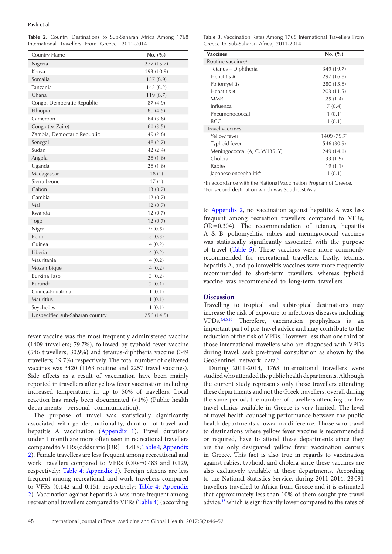<span id="page-2-0"></span>**Table 2.** Country Destinations to Sub-Saharan Africa Among 1768 International Travellers From Greece, 2011-2014

| Country Name                    | No. (%)    |
|---------------------------------|------------|
| Nigeria                         | 277 (15.7) |
| Kenya                           | 193 (10.9) |
| Somalia                         | 157(8.9)   |
| Tanzania                        | 145(8.2)   |
| Ghana                           | 119(6.7)   |
| Congo, Democratic Republic      | 87 (4.9)   |
| Ethiopia                        | 80 (4.5)   |
| Cameroon                        | 64(3.6)    |
| Congo (ex Zaire)                | 61(3.5)    |
| Zambia, Democtaric Republic     | 49 (2.8)   |
| Senegal                         | 48 (2.7)   |
| Sudan                           | 42 (2.4)   |
| Angola                          | 28 (1.6)   |
| Uganda                          | 28 (1.6)   |
| Madagascar                      | 18(1)      |
| Sierra Leone                    | 17(1)      |
| Gabon                           | 13(0.7)    |
| Gambia                          | 12(0.7)    |
| Mali                            | 12(0.7)    |
| Rwanda                          | 12(0.7)    |
| Togo                            | 12(0.7)    |
| Niger                           | 9(0.5)     |
| Benin                           | 5(0.3)     |
| Guinea                          | 4(0.2)     |
| Liberia                         | 4(0.2)     |
| Mauritania                      | 4(0.2)     |
| Mozambique                      | 4(0.2)     |
| <b>Burkina Faso</b>             | 3(0.2)     |
| Burundi                         | 2(0.1)     |
| Guinea-Equatorial               | 1(0.1)     |
| Mauritius                       | 1(0.1)     |
| Seychelles                      | 1(0.1)     |
| Unspecified sub-Saharan country | 256 (14.5) |

fever vaccine was the most frequently administered vaccine (1409 travellers; 79.7%), followed by typhoid fever vaccine (546 travellers; 30.9%) and tetanus-diphtheria vaccine (349 travellers; 19.7%) respectively. The total number of delivered vaccines was 3420 (1163 routine and 2257 travel vaccines). Side effects as a result of vaccination have been mainly reported in travellers after yellow fever vaccination including increased temperature, in up to 50% of travellers. Local reaction has rarely been documented (<1%) (Public health departments; personal communication).

The purpose of travel was statistically significantly associated with gender, nationality, duration of travel and hepatitis A vaccination [\(Appendix 1](#page-6-0)). Travel durations under 1 month are more often seen in recreational travellers compared to VFRs (odds ratio [OR] = 4.418; [Table 4](#page-3-0); [Appendix](#page-6-1) [2](#page-6-1)). Female travellers are less frequent among recreational and work travellers compared to VFRs (ORs=0.483 and 0.129, respectively; [Table 4](#page-3-0); [Appendix 2](#page-6-1)). Foreign citizens are less frequent among recreational and work travellers compared to VFRs (0.142 and 0.151, respectively; [Table 4;](#page-3-0) [Appendix](#page-6-1) [2](#page-6-1)). Vaccination against hepatitis A was more frequent among recreational travellers compared to VFRs ([Table 4\)](#page-3-0) (according

<span id="page-2-1"></span>**Table 3.** Vaccination Rates Among 1768 International Travellers From Greece to Sub-Saharan Africa, 2011-2014

| <b>Vaccines</b>                    | No. (%)     |
|------------------------------------|-------------|
| Routine vaccines <sup>a</sup>      |             |
| Tetanus - Diphtheria               | 349 (19.7)  |
| Hepatitis A                        | 297 (16.8)  |
| Poliomyelitis                      | 280 (15.8)  |
| Hepatitis B                        | 203 (11.5)  |
| <b>MMR</b>                         | 25(1.4)     |
| Influenza                          | 7(0.4)      |
| Pneumonococcal                     | 1(0.1)      |
| BCG                                | 1(0.1)      |
| Travel vaccines                    |             |
| Yellow fever                       | 1409 (79.7) |
| Typhoid fever                      | 546 (30.9)  |
| Meningococcal (A, C, W135, Y)      | 249 (14.1)  |
| Cholera                            | 33 (1.9)    |
| Rabies                             | 19(1.1)     |
| Japanese encephalitis <sup>b</sup> | 1(0.1)      |

<sup>a</sup> In accordance with the National Vaccination Program of Greece. **b** For second destination which was Southeast Asia.

to [Appendix 2,](#page-6-1) no vaccination against hepatitis A was less frequent among recreation travellers compared to VFRs; OR=0.304). The recommendation of tetanus, hepatitis A & B, poliomyelitis, rabies and meningococcal vaccines was statistically significantly associated with the purpose of travel [\(Table 5](#page-3-1)). These vaccines were more commonly recommended for recreational travellers. Lastly, tetanus, hepatitis A, and poliomyelitis vaccines were more frequently recommended to short-term travellers, whereas typhoid vaccine was recommended to long-term travellers.

#### **Discussion**

Travelling to tropical and subtropical destinations may increase the risk of exposure to infectious diseases including VPDs.[3,](#page-4-2)[4,](#page-4-3)[6](#page-5-1)[,10](#page-5-9) Therefore, vaccination prophylaxis is an important part of pre-travel advice and may contribute to the reduction of the risk of VPDs. However, less than one third of those international travellers who are diagnosed with VPDs during travel, seek pre-travel consultation as shown by the GeoSentinel network data.<sup>5</sup>

During 2011-2014, 1768 international travellers were studied who attended the public health departments. Although the current study represents only those travellers attending these departments and not the Greek travellers, overall during the same period, the number of travellers attending the few travel clinics available in Greece is very limited. The level of travel health counseling performance between the public health departments showed no difference. Those who travel to destinations where yellow fever vaccine is recommended or required, have to attend these departments since they are the only designated yellow fever vaccination centers in Greece. This fact is also true in regards to vaccination against rabies, typhoid, and cholera since these vaccines are also exclusively available at these departments. According to the National Statistics Service, during 2011-2014, 28 091 travellers travelled to Africa from Greece and it is estimated that approximately less than 10% of them sought pre-travel advice,<sup>[15](#page-5-10)</sup> which is significantly lower compared to the rates of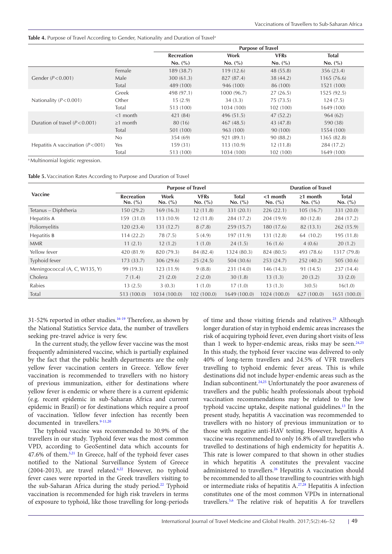#### <span id="page-3-0"></span>Table 4. Purpose of Travel According to Gender, Nationality and Duration of Travel<sup>a</sup>

|                                   |                | <b>Purpose of Travel</b> |             |             |              |
|-----------------------------------|----------------|--------------------------|-------------|-------------|--------------|
|                                   |                | <b>Recreation</b>        | Work        | <b>VFRs</b> | <b>Total</b> |
|                                   |                | No. (%)                  | No. (%)     | No. (%)     | No. (%)      |
|                                   | Female         | 189 (38.7)               | 119(12.6)   | 48 (55.8)   | 356 (23.4)   |
| Gender $(P<0.001)$                | Male           | 300(61.3)                | 827 (87.4)  | 38 (44.2)   | 1165(76.6)   |
|                                   | Total          | 489 (100)                | 946 (100)   | 86 (100)    | 1521 (100)   |
|                                   | Greek          | 498 (97.1)               | 1000 (96.7) | 27(26.5)    | 1525 (92.5)  |
| Nationality $(P<0.001)$           | Other          | 15(2.9)                  | 34(3.3)     | 75(73.5)    | 124(7.5)     |
|                                   | Total          | 513 (100)                | 1034 (100)  | 102 (100)   | 1649 (100)   |
|                                   | $<$ 1 month    | 421 (84)                 | 496(51.5)   | 47(52.2)    | 964(62)      |
| Duration of travel $(P< 0.001)$   | $\geq$ 1 month | 80 (16)                  | 467 (48.5)  | 43 (47.8)   | 590 (38)     |
|                                   | Total          | 501 (100)                | 963 (100)   | 90 (100)    | 1554 (100)   |
|                                   | No             | 354 (69)                 | 921 (89.1)  | 90(88.2)    | 1365 (82.8)  |
| Hepatitis A vaccination $(P<001)$ | Yes            | 159(31)                  | 113(10.9)   | 12(11.8)    | 284 (17.2)   |
|                                   | Total          | 513 (100)                | 1034 (100)  | 102 (100)   | 1649 (100)   |

a Multinomial logistic regression.

<span id="page-3-1"></span>

|  |  | Table 5. Vaccination Rates According to Purpose and Duration of Travel |  |
|--|--|------------------------------------------------------------------------|--|
|--|--|------------------------------------------------------------------------|--|

|                               | <b>Purpose of Travel</b>     |                 |                        |                         | <b>Duration of Travel</b> |                           |                         |  |
|-------------------------------|------------------------------|-----------------|------------------------|-------------------------|---------------------------|---------------------------|-------------------------|--|
| <b>Vaccine</b>                | <b>Recreation</b><br>No. (%) | Work<br>No. (%) | <b>VFRs</b><br>No. (%) | <b>Total</b><br>No. (%) | $<$ 1 month<br>No. (%)    | $\geq 1$ month<br>No. (%) | <b>Total</b><br>No. (%) |  |
| Tetanus – Diphtheria          | 150 (29.2)                   | 169(16.3)       | 12(11.8)               | 331 (20.1)              | 226(22.1)                 | 105(16.7)                 | 331 (20.0)              |  |
| Hepatitis A                   | 159 (31.0)                   | 113(10.9)       | 12(11.8)               | 284 (17.2)              | 204 (19.9)                | 80 (12.8)                 | 284 (17.2)              |  |
| Poliomyelitis                 | 120(23.4)                    | 131(12.7)       | 8(7.8)                 | 259(15.7)               | 180 (17.6)                | 82(13.1)                  | 262(15.9)               |  |
| Hepatitis B                   | 114(22.2)                    | 78 (7.5)        | 5(4.9)                 | 197 (11.9)              | 131 (12.8)                | 64 (10.2)                 | 195(11.8)               |  |
| <b>MMR</b>                    | 11(2.1)                      | 12(1.2)         | 1(1.0)                 | 24(1.5)                 | 16(1.6)                   | 4(0.6)                    | 20(1.2)                 |  |
| Yellow fever                  | 420 (81.9)                   | 820 (79.3)      | 84 (82.4)              | 1324 (80.3)             | 824 (80.5)                | 493 (78.6)                | 1317 (79.8)             |  |
| Typhoid fever                 | 173(33.7)                    | 306 (29.6)      | 25(24.5)               | 504 (30.6)              | 253 (24.7)                | 252(40.2)                 | 505 (30.6)              |  |
| Meningococcal (A, C, W135, Y) | 99 (19.3)                    | 123(11.9)       | 9(8.8)                 | 231 (14.0)              | 146(14.3)                 | 91 (14.5)                 | 237(14.4)               |  |
| Cholera                       | 7(1.4)                       | 21(2.0)         | 2(2.0)                 | 30(1.8)                 | 13(1.3)                   | 20(3.2)                   | 33(2.0)                 |  |
| Rabies                        | 13(2.5)                      | 3(0.3)          | 1(1.0)                 | 17(1.0)                 | 13(1.3)                   | 3(0.5)                    | 16(1.0)                 |  |
| Total                         | 513 (100.0)                  | 1034 (100.0)    | 102(100.0)             | 1649 (100.0)            | 1024 (100.0)              | 627 (100.0)               | 1651 (100.0)            |  |

31-52% reported in other studies.<sup>16-19</sup> Therefore, as shown by the National Statistics Service data, the number of travellers seeking pre-travel advice is very few.

 In the current study, the yellow fever vaccine was the most frequently administered vaccine, which is partially explained by the fact that the public health departments are the only yellow fever vaccination centers in Greece. Yellow fever vaccination is recommended to travellers with no history of previous immunization, either for destinations where yellow fever is endemic or where there is a current epidemic (e.g. recent epidemic in sub-Saharan Africa and current epidemic in Brazil) or for destinations which require a proof of vaccination. Yellow fever infection has recently been documented in travellers.<sup>9[-11](#page-5-5)[,20](#page-5-13)</sup>

The typhoid vaccine was recommended to 30.9% of the travellers in our study. Typhoid fever was the most common VPD, according to GeoSentinel data which accounts for 47.6% of them[.5](#page-5-0),[21](#page-5-14) In Greece, half of the typhoid fever cases notified to the National Surveillance System of Greece (2004-2013), are travel related.<sup>6,[22](#page-5-15)</sup> However, no typhoid fever cases were reported in the Greek travellers visiting to the sub-Saharan Africa during the study period.<sup>22</sup> Typhoid vaccination is recommended for high risk travelers in terms of exposure to typhoid, like those travelling for long-periods

of time and those visiting friends and relatives.<sup>23</sup> Although longer duration of stay in typhoid endemic areas increases the risk of acquiring typhoid fever, even during short visits of less than 1 week to hyper-endemic areas, risks may be seen. $24,25$  $24,25$ In this study, the typhoid fever vaccine was delivered to only 40% of long-term travellers and 24.5% of VFR travellers travelling to typhoid endemic fever areas. This is while destinations did not include hyper-endemic areas such as the Indian subcontinent.<sup>24,25</sup> Unfortunately the poor awareness of travellers and the public health professionals about typhoid vaccination recommendations may be related to the low typhoid vaccine uptake, despite national guidelines.<sup>13</sup> In the present study, hepatitis A vaccination was recommended to travellers with no history of previous immunization or to those with negative anti-HAV testing. However, hepatitis A vaccine was recommended to only 16.8% of all travellers who travelled to destinations of high endemicity for hepatitis A. This rate is lower compared to that shown in other studies in which hepatitis A constitutes the prevalent vaccine administered to travellers.<sup>26</sup> Hepatitis A vaccination should be recommended to all those travelling to countries with high or intermediate risks of hepatitis A.[27](#page-5-20),[28](#page-5-21) Hepatitis A infection constitutes one of the most common VPDs in international travellers.[5,](#page-5-0)[6](#page-5-1) The relative risk of hepatitis A for travellers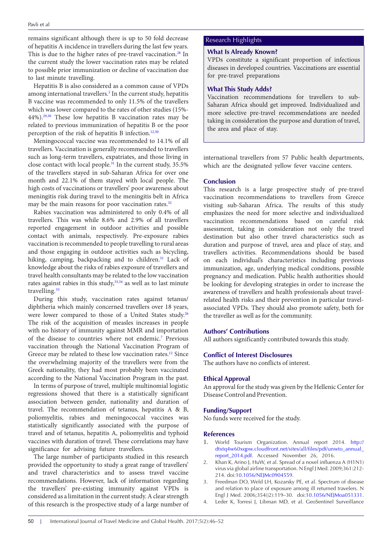remains significant although there is up to 50 fold decrease Research Highlights of hepatitis A incidence in travellers during the last few years. This is due to the higher rates of pre-travel vaccination.<sup>28</sup> In the current study the lower vaccination rates may be related to possible prior immunization or decline of vaccination due to last minute travelling.

Hepatitis B is also considered as a common cause of VPDs among international travellers.<sup>[5](#page-5-0)</sup> In the current study, hepatitis B vaccine was recommended to only 11.5% of the travellers which was lower compared to the rates of other studies (15%- 44%)[.29](#page-5-22)[,30](#page-5-23) These low hepatitis B vaccination rates may be related to previous immunization of hepatitis B or the poor perception of the risk of hepatitis B infection[.12](#page-5-6)[,30](#page-5-23)

Meningococcal vaccine was recommended to 14.1% of all travellers. Vaccination is generally recommended to travellers such as long-term travellers, expatriates, and those living in close contact with local people[.31](#page-5-24) In the current study, 35.5% of the travellers stayed in sub-Saharan Africa for over one month and 22.1% of them stayed with local people. The high costs of vaccinations or travellers' poor awareness about meningitis risk during travel to the meningitis belt in Africa may be the main reasons for poor vaccination rates.<sup>32</sup>

Rabies vaccination was administered to only 0.4% of all travellers. This was while 8.6% and 2.9% of all travellers reported engagement in outdoor activities and possible contact with animals, respectively. Pre-exposure rabies vaccination is recommended to people travelling to rural areas and those engaging in outdoor activities such as bicycling, hiking, camping, backpacking and to children.<sup>31</sup> Lack of knowledge about the risks of rabies exposure of travellers and travel health consultants may be related to the low vaccination rates against rabies in this study,<sup>[33](#page-5-26),[34](#page-5-27)</sup> as well as to last minute travelling.<sup>[35](#page-5-28)</sup>

During this study, vaccination rates against tetanus/ diphtheria which mainly concerned travellers over 18 years, were lower compared to those of a United States study.<sup>[26](#page-5-19)</sup> The risk of the acquisition of measles increases in people with no history of immunity against MMR and importation of the disease to countries where not endemic.<sup>7</sup> Previous vaccination through the National Vaccination Program of Greece may be related to these low vaccination rates.<sup>[12](#page-5-6)</sup> Since the overwhelming majority of the travellers were from the Greek nationality, they had most probably been vaccinated according to the National Vaccination Program in the past.

In terms of purpose of travel, multiple multinomial logistic regressions showed that there is a statistically significant association between gender, nationality and duration of travel. The recommendation of tetanus, hepatitis A & B, poliomyelitis, rabies and meningococcal vaccines was statistically significantly associated with the purpose of travel and of tetanus, hepatitis A, poliomyelitis and typhoid vaccines with duration of travel. These correlations may have significance for advising future travellers.

The large number of participants studied in this research provided the opportunity to study a great range of travellers' and travel characteristics and to assess travel vaccine recommendations. However, lack of information regarding the travellers' pre-existing immunity against VPDs is considered as a limitation in the current study. A clear strength of this research is the prospective study of a large number of

#### **What Is Already Known?**

VPDs constitute a significant proportion of infectious diseases in developed countries. Vaccinations are essential for pre-travel preparations

#### **What This Study Adds?**

Vaccination recommendations for travellers to sub-Saharan Africa should get improved. Individualized and more selective pre-travel recommendations are needed taking in consideration the purpose and duration of travel, the area and place of stay.

international travellers from 57 Public health departments, which are the designated yellow fever vaccine centers.

#### **Conclusion**

This research is a large prospective study of pre-travel vaccination recommendations to travellers from Greece visiting sub-Saharan Africa. The results of this study emphasizes the need for more selective and individualized vaccination recommendations based on careful risk assessment, taking in consideration not only the travel destination but also other travel characteristics such as duration and purpose of travel, area and place of stay, and travellers activities. Recommendations should be based on each individual's characteristics including previous immunization, age, underlying medical conditions, possible pregnancy and medication. Public health authorities should be looking for developing strategies in order to increase the awareness of travellers and health professionals about travelrelated health risks and their prevention in particular travelassociated VPDs. They should also promote safety, both for the traveller as well as for the community.

#### **Authors' Contributions**

All authors significantly contributed towards this study.

#### **Conflict of Interest Disclosures**

The authors have no conflicts of interest.

#### **Ethical Approval**

An approval for the study was given by the Hellenic Center for Disease Control and Prevention.

#### **Funding/Support**

No funds were received for the study.

#### **References**

- <span id="page-4-0"></span>1. World Tourism Organization. Annual report 2014. [http://](http://dtxtq4w60xqpw.cloudfront.net/sites/all/files/pdf/unwto_annual_report_2014.pdf) [dtxtq4w60xqpw.cloudfront.net/sites/all/files/pdf/unwto\\_annual\\_](http://dtxtq4w60xqpw.cloudfront.net/sites/all/files/pdf/unwto_annual_report_2014.pdf) [report\\_2014.pdf.](http://dtxtq4w60xqpw.cloudfront.net/sites/all/files/pdf/unwto_annual_report_2014.pdf) Accessed November 26, 2016.
- <span id="page-4-1"></span>2. Khan K, Arino J, HuW, et al. Spread of a novel influenza A (H1N1) virus via global airline transportation. N Engl J Med. 2009;361:212- 214. doi[:10.1056/NEJMc0904559.](http://dx.doi.org/10.1056/NEJMc0904559)
- <span id="page-4-2"></span>3. Freedman DO, Weld LH, Kozarsky PE, et al. Spectrum of disease and relation to place of exposure among ill returned travelers. N Engl J Med.  $2006;354(2):119-30$ . doi: $10.1056/NE[Moa051331]$ .
- <span id="page-4-3"></span>4. Leder K, Torresi J, Libman MD, et al. GeoSentinel Surveillance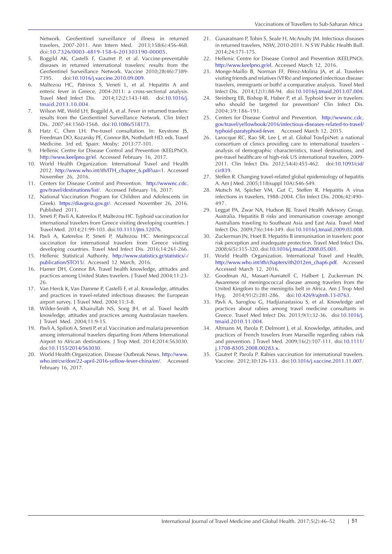<span id="page-5-0"></span>Network. GeoSentinel surveillance of illness in returned travelers, 2007-2011. Ann Intern Med. 2013;158(6):456-468. doi[:10.7326/0003-4819-158-6-201303190-00005](http://dx.doi.org/10.7326/0003-4819-158-6-201303190-00005).

- 5. Boggild AK, Castelli F, Gautret P, et al. Vaccine-preventable diseases in returned international travelers: results from the GeoSentinel Surveillance Network. Vaccine 2010;28(46):7389- 7395. doi[:10.1016/j.vaccine.2010.09.009](http://dx.doi.org/10.1016/j.vaccine.2010.09.009).
- <span id="page-5-1"></span>6. Maltezou HC, Patrinos S, Veneti L, et al. Hepatitis A and enteric fever in Greece, 2004-2011: a cross-sectional analysis. Travel Med Infect Dis. 2014;12(2):143-148. doi:[10.1016/j.](http://dx.doi.org/10.1016/j.tmaid.2013.10.004) [tmaid.2013.10.004](http://dx.doi.org/10.1016/j.tmaid.2013.10.004).
- <span id="page-5-2"></span>7. Wilson ME, Weld LH, Boggild A, et al. Fever in returned travelers: results from the GeoSentinel Surveillance Network. Clin Infect Dis. 2007;44:1560-1568. doi:[10.1086/518173](http://dx.doi.org/10.1086/518173).
- <span id="page-5-3"></span>Hatz C, Chen LH. Pre-travel consultation. In: Keystone JS, Freedman DO, Kozarsky PE, Connor BA, Nothdurft HD, eds. Travel Medicine. 3rd ed. Spain: Mosby; 2013:77-101.
- <span id="page-5-4"></span>9. Hellenic Centre for Disease Control and Prevention (KEELPNO). [http://www.keelpno.gr/el.](http://www.keelpno.gr/el) Accessed February 16, 2017.
- <span id="page-5-9"></span>10. World Health Organization. International Travel and Health 2012. [http://www.who.int/ith/ITH\\_chapter\\_6.pdf?ua=1.](http://www.who.int/ith/ITH_chapter_6.pdf?ua=1) Accessed November 26, 2016.
- <span id="page-5-5"></span>11. Centers for Disease Control and Prevention. [http://wwwnc.cdc.](http://wwwnc.cdc.gov/travel/destinations/list/) [gov/travel/destinations/list/](http://wwwnc.cdc.gov/travel/destinations/list/). Accessed February 16, 2017.
- <span id="page-5-6"></span>12. National Vaccination Program for Children and Adolescents (in Greek). <https://diavgeia.gov.gr/>. Accessed November 26, 2016. Published 2011.
- <span id="page-5-7"></span>13. Smeti P, Pavli A, Katerelos P, Maltezou HC. Typhoid vaccination for international travelers from Greece visiting developing countries. J Travel Med. 2014;21:99-103. doi:[10.1111/jtm.12076.](http://dx.doi.org/10.1111/jtm.12076)
- <span id="page-5-8"></span>14. Pavli A, Katerelos P, Smeti P, Maltezou HC. Meningococcal vaccination for international travelers from Greece visiting developing countries. Travel Med Infect Dis. 2016;14:261-266.
- <span id="page-5-10"></span>15. Hellenic Statistical Authority. [http://www.statistics.gr/statistics/-/](http://www.statistics.gr/statistics/-/publication/STO15/) [publication/STO15/.](http://www.statistics.gr/statistics/-/publication/STO15/) Accessed 12 March, 2016.
- <span id="page-5-11"></span>16. Hamer DH, Connor BA. Travel health knowledge, attitudes and practices among United States travelers. J Travel Med 2004;11:23- 26.
- 17. Van Herck K, Van Damme P, Castelli F, et al. Knowledge, attitudes and practices in travel-related infectious diseases: the European airport survey. J Travel Med. 2004;11:3-8.
- 18. Wilder-Smith A, Khairullah NS, Song JH, et al. Travel health knowledge, attitudes and practices among Australasian travelers. J Travel Med. 2004;11:9-15.
- <span id="page-5-12"></span>19. Pavli A, Spilioti A, Smeti P, et al. Vaccination and malaria prevention among international travelers departing from Athens International Airport to African destinations. J Trop Med. 2014;2014:563030. doi:[10.1155/2014/563030.](http://dx.doi.org/10.1155/2014/563030)
- <span id="page-5-13"></span>20. World Health Organization. Disease Outbreak News. [http://www.](http://www.who.int/csr/don/22-april-2016-yellow-fever-china/en/) [who.int/csr/don/22-april-2016-yellow-fever-china/en/](http://www.who.int/csr/don/22-april-2016-yellow-fever-china/en/). Accessed February 16, 2017.
- <span id="page-5-14"></span>21. Gunaratnam P, Tobin S, Seale H, McAnulty JM. Infectious diseases in returned travelers, NSW, 2010-2011. N S W Public Health Bull. 2014;24:171-175.
- <span id="page-5-15"></span>22. Hellenic Centre for Disease Control and Prevention (KEELPNO). <http://www.keelpno.gr/el>. Accessed March 12, 2016.
- <span id="page-5-16"></span>23. Monge-Maillo B, Norman FF, Pérez-Molina JA, et al. Travelers visiting friends and relatives (VFRs) and imported infectious disease: travelers, immigrants or both? a comparative analysis. Travel Med Infect Dis. 2014;12(1):88-94. doi:[10.1016/j.tmaid.2013.07.004.](http://dx.doi.org/10.1016/j.tmaid.2013.07.004)
- <span id="page-5-17"></span>24. Steinberg EB, Bishop R, Haber P, et al. Typhoid fever in travelers: who should be targeted for prevention? Clin Infect Dis. 2004;39:186-191.
- <span id="page-5-18"></span>25. Centers for Disease Control and Prevention. [http://wwwnc.cdc.](http://wwwnc.cdc.gov/travel/yellowbook/2016/infectious-diseases-related-to-travel/typhoid-paratyphoi) [gov/travel/yellowbook/2016/infectious-diseases-related-to-travel/](http://wwwnc.cdc.gov/travel/yellowbook/2016/infectious-diseases-related-to-travel/typhoid-paratyphoi) [typhoid-paratyphoid-fever](http://wwwnc.cdc.gov/travel/yellowbook/2016/infectious-diseases-related-to-travel/typhoid-paratyphoi). Accessed March 12, 2015.
- <span id="page-5-19"></span>26. Larocque RC, Rao SR, Lee J, et al. Global TravEpiNet: a national consortium of clinics providing care to international travelers analysis of demographic characteristics, travel destinations, and pre-travel healthcare of high-risk US international travelers, 2009- 2011. Clin Infect Dis. 2012;54(4):455-462. doi:[10.1093/cid/](http://dx.doi.org/10.1093/cid/cir839) [cir839](http://dx.doi.org/10.1093/cid/cir839).
- <span id="page-5-20"></span>27. Steffen R. Changing travel-related global epidemiology of hepatitis A. Am J Med. 2005;118(suppl 10A):S46-S49.
- <span id="page-5-21"></span>28. Mutsch M, Spicher VM, Gut C, Steffen R. Hepatitis A virus infections in travelers, 1988–2004. Clin Infect Dis. 2006;42:490– 497.
- <span id="page-5-22"></span>29. Leggat PA, Zwar NA, Hudson BJ. Travel Health Advisory Group, Australia. Hepatitis B risks and immunisation coverage amongst Australians traveling to Southeast Asia and East Asia. Travel Med Infect Dis. 2009;7(6):344-349. doi:[10.1016/j.tmaid.2009.03.008.](http://dx.doi.org/10.1016/j.tmaid.2009.03.008)
- <span id="page-5-23"></span>30. Zuckerman JN, Hoet B. Hepatitis B immunisation in travelers: poor risk perception and inadequate protection. Travel Med Infect Dis. 2008;6(5):315-320. doi[:10.1016/j.tmaid.2008.05.001](http://dx.doi.org/10.1016/j.tmaid.2008.05.001).
- <span id="page-5-24"></span>31. World Health Organization. International Travel and Health, [http://www.who.int/ith/chapters/ith2012en\\_chap6.pdf](http://www.who.int/ith/chapters/ith2012en_chap6.pdf). Accessed Accessed March 12, 2016.
- <span id="page-5-25"></span>32. Goodman AL, Masuet-Aumatell C, Halbert J, Zuckerman JN. Awareness of meningococcal disease among travelers from the United Kingdom to the meningitis belt in Africa. Am J Trop Med Hyg. 2014;91(2):281-286. doi[:10.4269/ajtmh.13-0763.](http://dx.doi.org/10.4269/ajtmh.13-0763)
- <span id="page-5-26"></span>33. Pavli A, Saroglou G, Hadjianastasiou S, et al. Knowledge and practices about rabies among travel medicine consultants in Greece. Travel Med Infect Dis. 2011;9(1):32-36. doi[:10.1016/j.](http://dx.doi.org/10.1016/j.tmaid.2010.11.004) [tmaid.2010.11.004](http://dx.doi.org/10.1016/j.tmaid.2010.11.004).
- <span id="page-5-27"></span>34. Altmann M, Parola P, Delmont J, et al. Knowledge, attitudes, and practices of French travelers from Marseille regarding rabies risk and prevention. J Travel Med. 2009;16(2):107-111. doi:[10.1111/](http://dx.doi.org/10.1111/j.1708-8305.2008.00283.x) [j.1708-8305.2008.00283.x.](http://dx.doi.org/10.1111/j.1708-8305.2008.00283.x)
- <span id="page-5-28"></span>Gautret P, Parola P. Rabies vaccination for international travelers. Vaccine. 2012;30:126-133. doi[:10.1016/j.vaccine.2011.11.007.](http://dx.doi.org/10.1016/j.vaccine.2011.11.007)